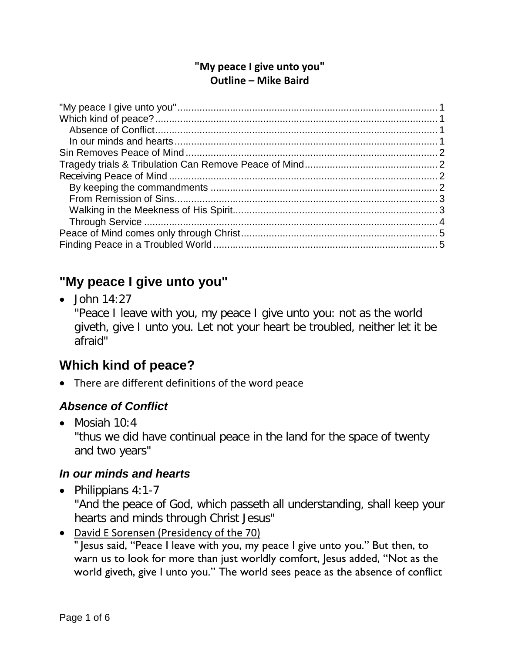#### **"My peace I give unto you" Outline – Mike Baird**

# <span id="page-0-0"></span>**"My peace I give unto you"**

 $\bullet$  John 14:27 "Peace I leave with you, my peace I give unto you: not as the world giveth, give I unto you. Let not your heart be troubled, neither let it be afraid"

# <span id="page-0-1"></span>**Which kind of peace?**

• There are different definitions of the word peace

### <span id="page-0-2"></span>*Absence of Conflict*

• Mosiah 10:4

"thus we did have continual peace in the land for the space of twenty and two years"

### <span id="page-0-3"></span>*In our minds and hearts*

• Philippians 4:1-7

"And the peace of God, which passeth all understanding, shall keep your hearts and minds through Christ Jesus"

• David E Sorensen (Presidency of the 70)

" Jesus said, "Peace I leave with you, my peace I give unto you." But then, to warn us to look for more than just worldly comfort, Jesus added, "Not as the world giveth, give I unto you." The world sees peace as the absence of conflict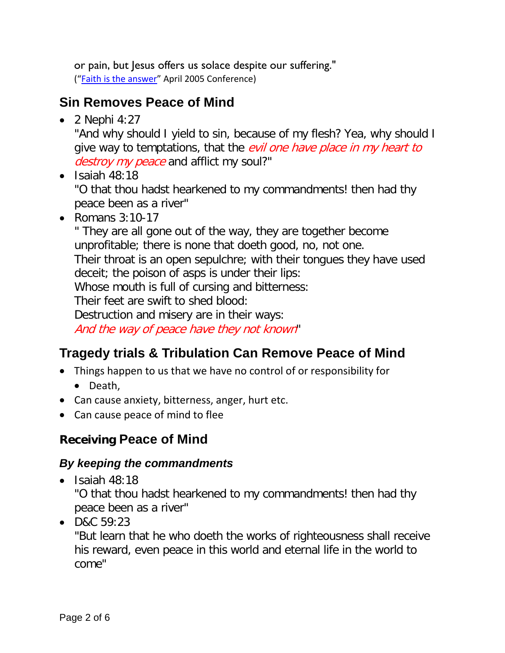or pain, but Jesus offers us solace despite our suffering." (["Faith is the answer"](https://www.lds.org/general-conference/2005/04/faith-is-the-answer?lang=eng) April 2005 Conference)

## <span id="page-1-0"></span>**Sin Removes Peace of Mind**

 $\bullet$  2 Nephi 4:27

"And why should I yield to sin, because of my flesh? Yea, why should I give way to temptations, that the *evil one have place in my heart to* destroy my peace and afflict my soul?"

 $\bullet$  Isaiah 48:18

"O that thou hadst hearkened to my commandments! then had thy peace been as a river"

• Romans 3:10-17

" They are all gone out of the way, they are together become unprofitable; there is none that doeth good, no, not one. Their throat is an open sepulchre; with their tongues they have used deceit; the poison of asps is under their lips: Whose mouth is full of cursing and bitterness: Their feet are swift to shed blood: Destruction and misery are in their ways: And the way of peace have they not known"

# <span id="page-1-1"></span>**Tragedy trials & Tribulation Can Remove Peace of Mind**

- Things happen to us that we have no control of or responsibility for
	- Death,
- Can cause anxiety, bitterness, anger, hurt etc.
- Can cause peace of mind to flee

# <span id="page-1-2"></span>**Receiving Peace of Mind**

## <span id="page-1-3"></span>*By keeping the commandments*

• Isaiah 48:18

"O that thou hadst hearkened to my commandments! then had thy peace been as a river"

• D&C 59:23

"But learn that he who doeth the works of righteousness shall receive his reward, even peace in this world and eternal life in the world to come"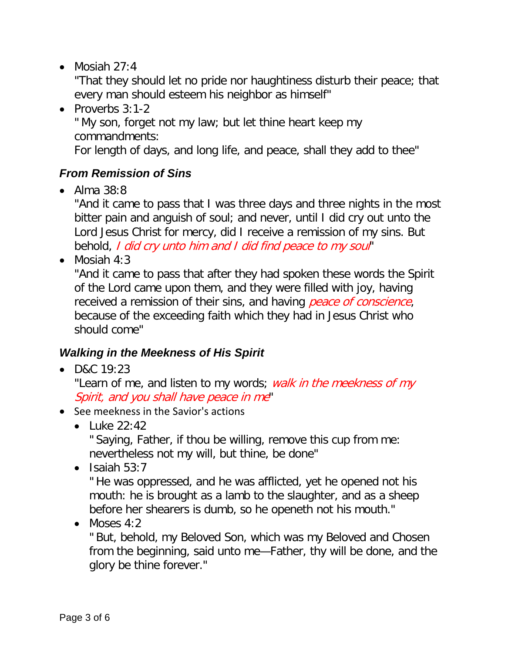• Mosiah  $27:4$ 

"That they should let no pride nor haughtiness disturb their peace; that every man should esteem his neighbor as himself"

• Proverbs 3:1-2

" My son, forget not my law; but let thine heart keep my commandments:

For length of days, and long life, and peace, shall they add to thee"

### <span id="page-2-0"></span>*From Remission of Sins*

• Alma 38:8

"And it came to pass that I was three days and three nights in the most bitter pain and anguish of soul; and never, until I did cry out unto the Lord Jesus Christ for mercy, did I receive a remission of my sins. But behold, I did cry unto him and I did find peace to my soul"

• Mosiah  $4:3$ 

"And it came to pass that after they had spoken these words the Spirit of the Lord came upon them, and they were filled with joy, having received a remission of their sins, and having peace of conscience, because of the exceeding faith which they had in Jesus Christ who should come"

#### <span id="page-2-1"></span>*Walking in the Meekness of His Spirit*

• D&C 19:23

"Learn of me, and listen to my words; *walk in the meekness of my* Spirit, and you shall have peace in me"

- See meekness in the Savior's actions
	- Luke 22:42

" Saying, Father, if thou be willing, remove this cup from me: nevertheless not my will, but thine, be done"

 $\bullet$  Isaiah 53:7

" He was oppressed, and he was afflicted, yet he opened not his mouth: he is brought as a lamb to the slaughter, and as a sheep before her shearers is dumb, so he openeth not his mouth."

• Moses  $4:2$ 

" But, behold, my Beloved Son, which was my Beloved and Chosen from the beginning, said unto me—Father, thy will be done, and the glory be thine forever."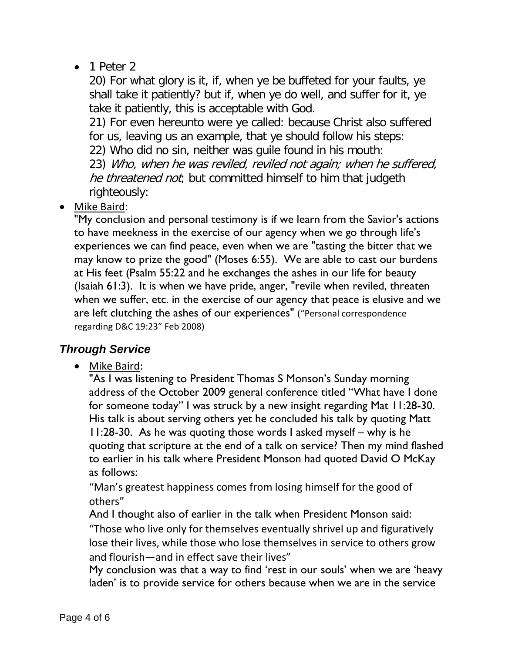• 1 Peter 2

20) For what glory is it, if, when ye be buffeted for your faults, ye shall take it patiently? but if, when ye do well, and suffer for it, ye take it patiently, this is acceptable with God.

21) For even hereunto were ye called: because Christ also suffered for us, leaving us an example, that ye should follow his steps:

22) Who did no sin, neither was guile found in his mouth:

23) Who, when he was reviled, reviled not again; when he suffered, he threatened not; but committed himself to him that judgeth righteously:

• Mike Baird:

"My conclusion and personal testimony is if we learn from the Savior's actions to have meekness in the exercise of our agency when we go through life's experiences we can find peace, even when we are "tasting the bitter that we may know to prize the good" (Moses 6:55). We are able to cast our burdens at His feet (Psalm 55:22 and he exchanges the ashes in our life for beauty (Isaiah 61:3). It is when we have pride, anger, "revile when reviled, threaten when we suffer, etc. in the exercise of our agency that peace is elusive and we are left clutching the ashes of our experiences" ("Personal correspondence regarding D&C 19:23" Feb 2008)

### <span id="page-3-0"></span>*Through Service*

• Mike Baird:

"As I was listening to President Thomas S Monson's Sunday morning address of the October 2009 general conference titled "What have I done for someone today" I was struck by a new insight regarding Mat 11:28-30. His talk is about serving others yet he concluded his talk by quoting Matt 11:28-30. As he was quoting those words I asked myself – why is he quoting that scripture at the end of a talk on service? Then my mind flashed to earlier in his talk where President Monson had quoted David O McKay as follows:

"Man's greatest happiness comes from losing himself for the good of others"

And I thought also of earlier in the talk when President Monson said: "Those who live only for themselves eventually shrivel up and figuratively lose their lives, while those who lose themselves in service to others grow and flourish—and in effect save their lives"

My conclusion was that a way to find 'rest in our souls' when we are 'heavy laden' is to provide service for others because when we are in the service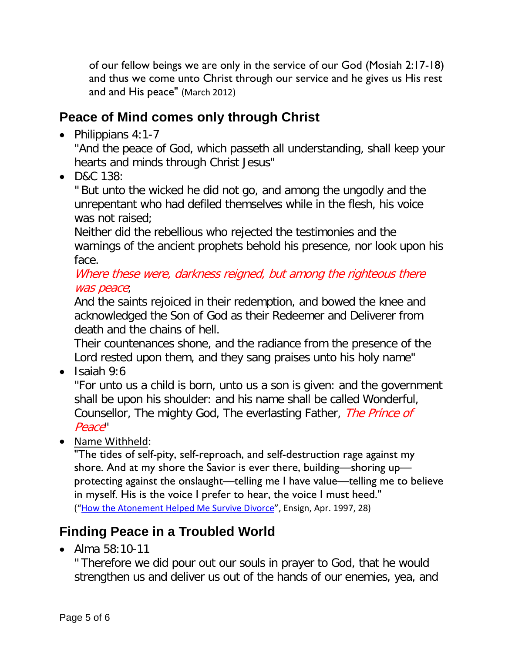of our fellow beings we are only in the service of our God (Mosiah 2:17-18) and thus we come unto Christ through our service and he gives us His rest and and His peace" (March 2012)

## <span id="page-4-0"></span>**Peace of Mind comes only through Christ**

• Philippians 4:1-7

"And the peace of God, which passeth all understanding, shall keep your hearts and minds through Christ Jesus"

• D&C 138:

" But unto the wicked he did not go, and among the ungodly and the unrepentant who had defiled themselves while in the flesh, his voice was not raised:

Neither did the rebellious who rejected the testimonies and the warnings of the ancient prophets behold his presence, nor look upon his face.

Where these were, darkness reigned, but among the righteous there was peace;

And the saints rejoiced in their redemption, and bowed the knee and acknowledged the Son of God as their Redeemer and Deliverer from death and the chains of hell.

Their countenances shone, and the radiance from the presence of the Lord rested upon them, and they sang praises unto his holy name"

• Isaiah 9:6

"For unto us a child is born, unto us a son is given: and the government shall be upon his shoulder: and his name shall be called Wonderful, Counsellor, The mighty God, The everlasting Father, The Prince of Peace"

• Name Withheld:

"The tides of self-pity, self-reproach, and self-destruction rage against my shore. And at my shore the Savior is ever there, building—shoring up protecting against the onslaught—telling me I have value—telling me to believe in myself. His is the voice I prefer to hear, the voice I must heed." (["How the Atonement Helped Me Survive Divorce"](https://www.lds.org/ensign/1997/04/how-the-atonement-helped-me-survive-divorce?lang=eng), Ensign, Apr. 1997, 28)

# <span id="page-4-1"></span>**Finding Peace in a Troubled World**

• Alma 58:10-11

" Therefore we did pour out our souls in prayer to God, that he would strengthen us and deliver us out of the hands of our enemies, yea, and